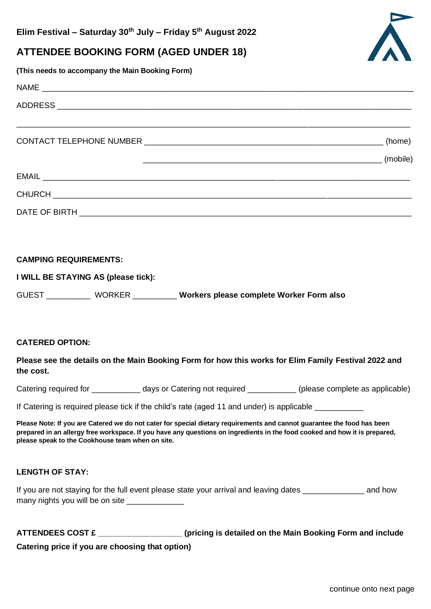# **ATTENDEE BOOKING FORM (AGED UNDER 18)**

**(This needs to accompany the Main Booking Form)**

# $NAME$ ADDRESS \_\_\_\_\_\_\_\_\_\_\_\_\_\_\_\_\_\_\_\_\_\_\_\_\_\_\_\_\_\_\_\_\_\_\_\_\_\_\_\_\_\_\_\_\_\_\_\_\_\_\_\_\_\_\_\_\_\_\_\_\_\_\_\_\_\_\_\_\_\_\_\_\_\_\_\_\_\_\_\_ \_\_\_\_\_\_\_\_\_\_\_\_\_\_\_\_\_\_\_\_\_\_\_\_\_\_\_\_\_\_\_\_\_\_\_\_\_\_\_\_\_\_\_\_\_\_\_\_\_\_\_\_\_\_\_\_\_\_\_\_\_\_\_\_\_\_\_\_\_\_\_\_\_\_\_\_\_\_\_\_\_\_\_\_\_\_\_\_\_ CONTACT TELEPHONE NUMBER \_\_\_\_\_\_\_\_\_\_\_\_\_\_\_\_\_\_\_\_\_\_\_\_\_\_\_\_\_\_\_\_\_\_\_\_\_\_\_\_\_\_\_\_\_\_\_\_\_\_\_\_\_\_ (home) \_\_\_\_\_\_\_\_\_\_\_\_\_\_\_\_\_\_\_\_\_\_\_\_\_\_\_\_\_\_\_\_\_\_\_\_\_\_\_\_\_\_\_\_\_\_\_\_\_\_\_\_\_\_ (mobile) EMAIL \_\_\_\_\_\_\_\_\_\_\_\_\_\_\_\_\_\_\_\_\_\_\_\_\_\_\_\_\_\_\_\_\_\_\_\_\_\_\_\_\_\_\_\_\_\_\_\_\_\_\_\_\_\_\_\_\_\_\_\_\_\_\_\_\_\_\_\_\_\_\_\_\_\_\_\_\_\_\_\_\_\_\_ CHURCH **LEAD AN AN AN AN AN AN AN AN AN AN AN** DATE OF BIRTH \_\_\_\_\_\_\_\_\_\_\_\_\_\_\_\_\_\_\_\_\_\_\_\_\_\_\_\_\_\_\_\_\_\_\_\_\_\_\_\_\_\_\_\_\_\_\_\_\_\_\_\_\_\_\_\_\_\_\_\_\_\_\_\_\_\_\_\_\_\_\_\_\_\_\_

## **CAMPING REQUIREMENTS:**

| I WILL BE STAYING AS (please tick): |               |                                          |
|-------------------------------------|---------------|------------------------------------------|
| <b>GUEST</b>                        | <b>WORKER</b> | Workers please complete Worker Form also |

#### **CATERED OPTION:**

#### **Please see the details on the Main Booking Form for how this works for Elim Family Festival 2022 and the cost.**

Catering required for \_\_\_\_\_\_\_\_\_\_\_\_\_ days or Catering not required \_\_\_\_\_\_\_\_\_\_\_\_\_(please complete as applicable)

If Catering is required please tick if the child's rate (aged 11 and under) is applicable \_\_\_\_\_\_\_\_\_

**Please Note: If you are Catered we do not cater for special dietary requirements and cannot guarantee the food has been prepared in an allergy free workspace. If you have any questions on ingredients in the food cooked and how it is prepared, please speak to the Cookhouse team when on site.**

## **LENGTH OF STAY:**

If you are not staying for the full event please state your arrival and leaving dates \_\_\_\_\_\_\_\_\_\_\_\_\_\_ and how many nights you will be on site \_\_\_\_\_\_\_\_\_\_\_\_\_

| <b>ATTENDEES COST £</b>                         | (pricing is detailed on the Main Booking Form and include |
|-------------------------------------------------|-----------------------------------------------------------|
| Catering price if you are choosing that option) |                                                           |